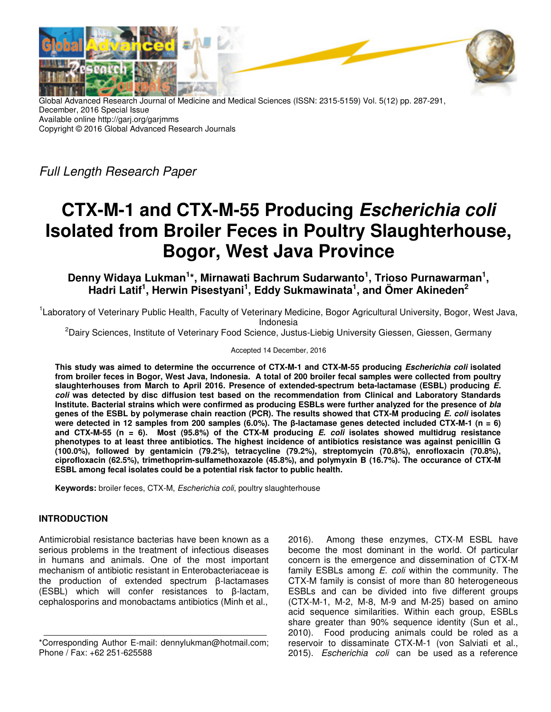

Global Advanced Research Journal of Medicine and Medical Sciences (ISSN: 2315-5159) Vol. 5(12) pp. 287-291, December, 2016 Special Issue Available online http://garj.org/garjmms Copyright © 2016 Global Advanced Research Journals

Full Length Research Paper

# **CTX-M-1 and CTX-M-55 Producing Escherichia coli Isolated from Broiler Feces in Poultry Slaughterhouse, Bogor, West Java Province**

**Denny Widaya Lukman<sup>1</sup> \*, Mirnawati Bachrum Sudarwanto<sup>1</sup> , Trioso Purnawarman<sup>1</sup> , Hadri Latif<sup>1</sup> , Herwin Pisestyani<sup>1</sup> , Eddy Sukmawinata<sup>1</sup> , and Ömer Akineden<sup>2</sup>**

<sup>1</sup>Laboratory of Veterinary Public Health, Faculty of Veterinary Medicine, Bogor Agricultural University, Bogor, West Java, Indonesia

<sup>2</sup>Dairy Sciences, Institute of Veterinary Food Science, Justus-Liebig University Giessen, Giessen, Germany

#### Accepted 14 December, 2016

**This study was aimed to determine the occurrence of CTX-M-1 and CTX-M-55 producing Escherichia coli isolated from broiler feces in Bogor, West Java, Indonesia. A total of 200 broiler fecal samples were collected from poultry slaughterhouses from March to April 2016. Presence of extended-spectrum beta-lactamase (ESBL) producing E. coli was detected by disc diffusion test based on the recommendation from Clinical and Laboratory Standards Institute. Bacterial strains which were confirmed as producing ESBLs were further analyzed for the presence of bla genes of the ESBL by polymerase chain reaction (PCR). The results showed that CTX-M producing E. coli isolates were detected in 12 samples from 200 samples (6.0%). The β-lactamase genes detected included CTX-M-1 (n = 6) and CTX-M-55 (n = 6). Most (95.8%) of the CTX-M producing E. coli isolates showed multidrug resistance phenotypes to at least three antibiotics. The highest incidence of antibiotics resistance was against penicillin G (100.0%), followed by gentamicin (79.2%), tetracycline (79.2%), streptomycin (70.8%), enrofloxacin (70.8%), ciprofloxacin (62.5%), trimethoprim-sulfamethoxazole (45.8%), and polymyxin B (16.7%). The occurance of CTX-M ESBL among fecal isolates could be a potential risk factor to public health.** 

**Keywords:** broiler feces, CTX-M, Escherichia coli, poultry slaughterhouse

## **INTRODUCTION**

Antimicrobial resistance bacterias have been known as a serious problems in the treatment of infectious diseases in humans and animals. One of the most important mechanism of antibiotic resistant in Enterobacteriaceae is the production of extended spectrum β-lactamases (ESBL) which will confer resistances to β-lactam, cephalosporins and monobactams antibiotics (Minh et al.,

2016). Among these enzymes, CTX-M ESBL have become the most dominant in the world. Of particular concern is the emergence and dissemination of CTX-M family ESBLs among E. coli within the community. The CTX-M family is consist of more than 80 heterogeneous ESBLs and can be divided into five different groups (CTX-M-1, M-2, M-8, M-9 and M-25) based on amino acid sequence similarities. Within each group, ESBLs share greater than 90% sequence identity (Sun et al., 2010). Food producing animals could be roled as a reservoir to dissaminate CTX-M-1 (von Salviati et al., 2015). Escherichia coli can be used as a reference

<sup>\*</sup>Corresponding Author E-mail: dennylukman@hotmail.com; Phone / Fax: +62 251-625588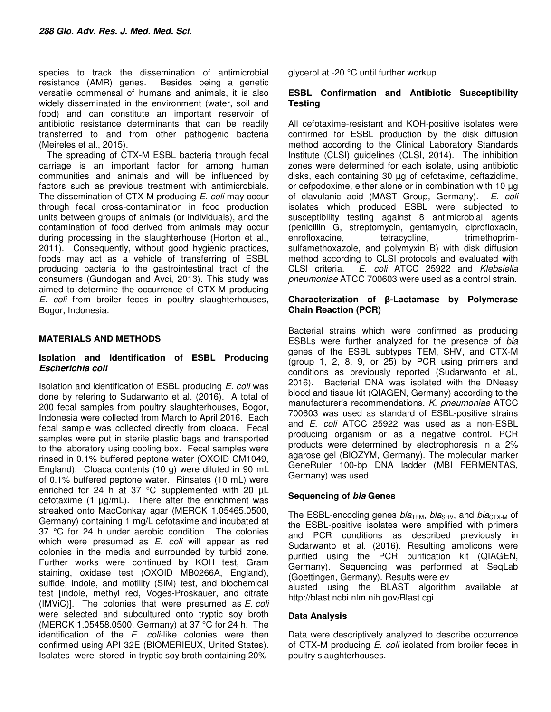species to track the dissemination of antimicrobial resistance (AMR) genes. Besides being a genetic versatile commensal of humans and animals, it is also widely disseminated in the environment (water, soil and food) and can constitute an important reservoir of antibiotic resistance determinants that can be readily transferred to and from other pathogenic bacteria (Meireles et al., 2015).

The spreading of CTX-M ESBL bacteria through fecal carriage is an important factor for among human communities and animals and will be influenced by factors such as previous treatment with antimicrobials. The dissemination of CTX-M producing E. coli may occur through fecal cross-contamination in food production units between groups of animals (or individuals), and the contamination of food derived from animals may occur during processing in the slaughterhouse (Horton et al., 2011). Consequently, without good hygienic practices, foods may act as a vehicle of transferring of ESBL producing bacteria to the gastrointestinal tract of the consumers (Gundogan and Avci, 2013). This study was aimed to determine the occurrence of CTX-M producing E. coli from broiler feces in poultry slaughterhouses, Bogor, Indonesia.

# **MATERIALS AND METHODS**

### **Isolation and Identification of ESBL Producing Escherichia coli**

Isolation and identification of ESBL producing E. coli was done by refering to Sudarwanto et al. (2016). A total of 200 fecal samples from poultry slaughterhouses, Bogor, Indonesia were collected from March to April 2016. Each fecal sample was collected directly from cloaca. Fecal samples were put in sterile plastic bags and transported to the laboratory using cooling box. Fecal samples were rinsed in 0.1% buffered peptone water (OXOID CM1049, England). Cloaca contents (10 g) were diluted in 90 mL of 0.1% buffered peptone water. Rinsates (10 mL) were enriched for 24 h at 37 °C supplemented with 20 µL cefotaxime  $(1 \mu g/mL)$ . There after the enrichment was streaked onto MacConkay agar (MERCK 1.05465.0500, Germany) containing 1 mg/L cefotaxime and incubated at 37 °C for 24 h under aerobic condition. The colonies which were presumed as E. coli will appear as red colonies in the media and surrounded by turbid zone. Further works were continued by KOH test, Gram staining, oxidase test (OXOID MB0266A, England), sulfide, indole, and motility (SIM) test, and biochemical test [indole, methyl red, Voges-Proskauer, and citrate  $(IMViC)$ ]. The colonies that were presumed as  $E.$  coli were selected and subcultured onto tryptic soy broth (MERCK 1.05458.0500, Germany) at 37 °C for 24 h. The identification of the  $E$ . coli-like colonies were then confirmed using API 32E (BIOMERIEUX, United States). Isolates were stored in tryptic soy broth containing 20%

glycerol at -20 °C until further workup.

### **ESBL Confirmation and Antibiotic Susceptibility Testing**

All cefotaxime-resistant and KOH-positive isolates were confirmed for ESBL production by the disk diffusion method according to the Clinical Laboratory Standards Institute (CLSI) guidelines (CLSI, 2014). The inhibition zones were determined for each isolate, using antibiotic disks, each containing 30 µg of cefotaxime, ceftazidime, or cefpodoxime, either alone or in combination with 10 µg of clavulanic acid (MAST Group, Germany). E. coli isolates which produced ESBL were subjected to susceptibility testing against 8 antimicrobial agents (penicillin G, streptomycin, gentamycin, ciprofloxacin, enrofloxacine, tetracycline, trimethoprimsulfamethoxazole, and polymyxin B) with disk diffusion method according to CLSI protocols and evaluated with CLSI criteria. E. coli ATCC 25922 and Klebsiella pneumoniae ATCC 700603 were used as a control strain.

## **Characterization of β-Lactamase by Polymerase Chain Reaction (PCR)**

Bacterial strains which were confirmed as producing ESBLs were further analyzed for the presence of bla genes of the ESBL subtypes TEM, SHV, and CTX-M (group 1, 2, 8, 9, or 25) by PCR using primers and conditions as previously reported (Sudarwanto et al., 2016). Bacterial DNA was isolated with the DNeasy blood and tissue kit (QIAGEN, Germany) according to the manufacturer's recommendations. K. pneumoniae ATCC 700603 was used as standard of ESBL-positive strains and E. coli ATCC 25922 was used as a non-ESBL producing organism or as a negative control. PCR products were determined by electrophoresis in a 2% agarose gel (BIOZYM, Germany). The molecular marker GeneRuler 100-bp DNA ladder (MBI FERMENTAS, Germany) was used.

# **Sequencing of bla Genes**

The ESBL-encoding genes  $bla_{\text{TEM}}$ ,  $bla_{\text{SHV}}$ , and  $bla_{\text{CTX-M}}$  of the ESBL-positive isolates were amplified with primers and PCR conditions as described previously in Sudarwanto et al. (2016). Resulting amplicons were purified using the PCR purification kit (QIAGEN, Germany). Sequencing was performed at SeqLab (Goettingen, Germany). Results were ev

aluated using the BLAST algorithm available at http://blast.ncbi.nlm.nih.gov/Blast.cgi.

# **Data Analysis**

Data were descriptively analyzed to describe occurrence of CTX-M producing E. coli isolated from broiler feces in poultry slaughterhouses.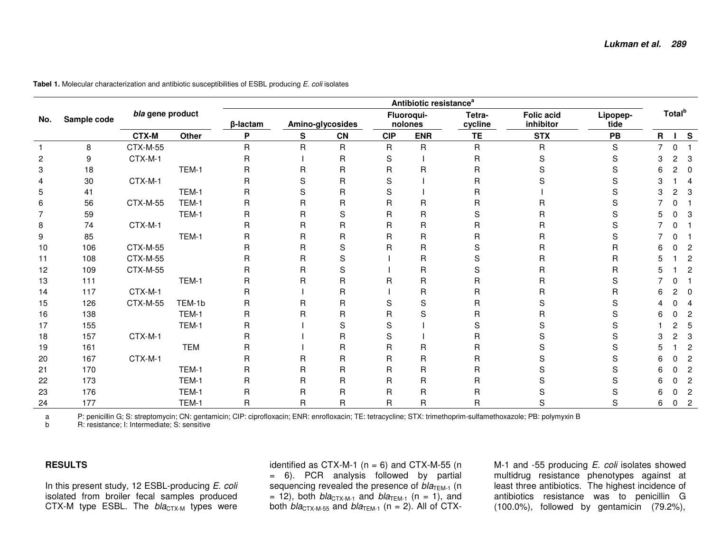| No. | Sample code |                  | Antibiotic resistance <sup>a</sup> |             |                  |              |                       |            |                   |                                |                  |                    |   |                         |  |
|-----|-------------|------------------|------------------------------------|-------------|------------------|--------------|-----------------------|------------|-------------------|--------------------------------|------------------|--------------------|---|-------------------------|--|
|     |             | bla gene product |                                    | β-lactam    | Amino-glycosides |              | Fluoroqui-<br>nolones |            | Tetra-<br>cycline | <b>Folic acid</b><br>inhibitor | Lipopep-<br>tide | Total <sup>b</sup> |   |                         |  |
|     |             | <b>CTX-M</b>     | Other                              | P           | S                | <b>CN</b>    | <b>CIP</b>            | <b>ENR</b> | <b>TE</b>         | <b>STX</b>                     | PB               | $\mathsf{R}$       |   | $I$ S                   |  |
|     | 8           | CTX-M-55         |                                    | R           | R                | $\mathsf{R}$ | $\mathsf R$           | R          | $\mathsf{R}$      | $\mathsf{R}$                   | S                | $\overline{7}$     | 0 |                         |  |
| 2   | 9           | CTX-M-1          |                                    | R           |                  | R            | S                     |            | R                 | S                              | S                | 3                  | 2 | 3                       |  |
| 3   | 18          |                  | TEM-1                              | R           | R                | $\mathsf{R}$ | $\mathsf R$           | R          | R                 | $\mathbf S$                    | S                | 6                  | 2 | 0                       |  |
| 4   | 30          | CTX-M-1          |                                    | R           | S                | R            | S                     |            | R                 | S                              | S                | 3                  |   | $\overline{4}$          |  |
| 5   | 41          |                  | TEM-1                              | R           | S                | $\mathsf{R}$ | S                     |            | R                 |                                | S                | 3                  | 2 | $\sqrt{3}$              |  |
| 6   | 56          | <b>CTX-M-55</b>  | TEM-1                              | R           | R                | R            | R                     | R          | R                 | R                              | S                |                    |   |                         |  |
|     | 59          |                  | TEM-1                              | R           | R                | S            | $\mathsf R$           | R          | S                 | $\mathsf{R}$                   | S                |                    | 0 | 3                       |  |
| 8   | 74          | CTX-M-1          |                                    | R           | $\mathsf{R}$     | $\mathsf{R}$ | $\mathsf R$           | R          | R                 | $\mathsf R$                    | S                |                    |   |                         |  |
| 9   | 85          |                  | TEM-1                              | R           | R                | $\mathsf{R}$ | $\mathsf R$           | R          | R                 | $\mathsf R$                    | S                |                    |   |                         |  |
| 10  | 106         | <b>CTX-M-55</b>  |                                    | R           | R                | $\mathsf S$  | $\mathsf{R}$          | R          | S                 | $\mathsf{R}$                   | $\sf R$          |                    | n | $\overline{c}$          |  |
| 11  | 108         | <b>CTX-M-55</b>  |                                    | R           | $\mathsf{R}$     | S            |                       | R          | S                 | $\mathsf R$                    | $\mathsf R$      |                    |   | $\sqrt{2}$              |  |
| 12  | 109         | <b>CTX-M-55</b>  |                                    | R           | R                | S            |                       | R          | S                 | $\mathsf R$                    | $\mathsf R$      | 5                  |   | $\sqrt{2}$              |  |
| 13  | 111         |                  | TEM-1                              | R           | R                | $\mathsf{R}$ | R                     | R          | R                 | $\mathsf R$                    | S                |                    |   |                         |  |
| 14  | 117         | CTX-M-1          |                                    | R           |                  | R            |                       | R          | R                 | $\mathsf R$                    | R                |                    | 2 | 0                       |  |
| 15  | 126         | <b>CTX-M-55</b>  | TEM-1b                             | R           | R                | $\mathsf{R}$ | S                     | S          | R                 | S                              | S                |                    |   | $\overline{4}$          |  |
| 16  | 138         |                  | TEM-1                              | $\mathsf R$ | R                | $\mathsf{R}$ | $\mathsf R$           | S          | R                 | $\mathsf R$                    | S                | 6                  |   | $\overline{c}$          |  |
| 17  | 155         |                  | TEM-1                              | R           |                  | S            | S                     |            | S                 | S                              | S                |                    | 2 | 5                       |  |
| 18  | 157         | CTX-M-1          |                                    | R           |                  | R            | S                     |            | R                 | S                              | S                | З                  | 2 | 3                       |  |
| 19  | 161         |                  | <b>TEM</b>                         | R           |                  | $\mathsf{R}$ | $\mathsf R$           | R          | R                 | $\mathbf S$                    | S                | 5                  |   | $\overline{\mathbf{c}}$ |  |
| 20  | 167         | CTX-M-1          |                                    | R           | R                | R            | R                     | R          | R                 | S                              | S                | 6                  |   | $\overline{c}$          |  |
| 21  | 170         |                  | TEM-1                              | R           | R                | $\mathsf{R}$ | $\mathsf R$           | R          | R                 | S                              | S                | 6                  |   | $\overline{c}$          |  |
| 22  | 173         |                  | TEM-1                              | R           | R                | R            | R                     | R          | R                 | S                              | S                |                    |   | $\overline{c}$          |  |
| 23  | 176         |                  | TEM-1                              | R           | R                | $\mathsf{R}$ | $\mathsf R$           | R          | R                 | S                              | S                | 6                  |   | $\boldsymbol{2}$        |  |
| 24  | 177         |                  | TEM-1                              | R           | R                | R            | $\mathsf R$           | R          | R                 | S                              | S                | 6                  | 0 | $\sqrt{2}$              |  |

**Tabel 1.** Molecular characterization and antibiotic susceptibilities of ESBL producing E. coli isolates

a P: penicillin G; S: streptomycin; CN: gentamicin; CIP: ciprofloxacin; ENR: enrofloxacin; TE: tetracycline; STX: trimethoprim-sulfamethoxazole; PB: polymyxin B<br>b R: resistance: I: Intermediate: S: sensitive

b R: resistance; I: Intermediate; S: sensitive

#### **RESULTS**

In this present study, 12 ESBL-producing E. coli isolated from broiler fecal samples produced CTX-M type ESBL. The bla<sub>CTX-M</sub> types were identified as CTX-M-1 ( $n = 6$ ) and CTX-M-55 ( $n$ ) = 6). PCR analysis followed by partial sequencing revealed the presence of bla<sub>TEM-1</sub> (n = 12), both  $bla_{CTX-M-1}$  and  $bla_{TEM-1}$  (n = 1), and both  $bla_{CTX-M-55}$  and  $bla_{TEM-1}$  (n = 2). All of CTX-

M-1 and -55 producing *E. coli* isolates showed multidrug resistance phenotypes against at least three antibiotics. The highest incidence of antibiotics resistance was to penicillin G (100.0%), followed by gentamicin (79.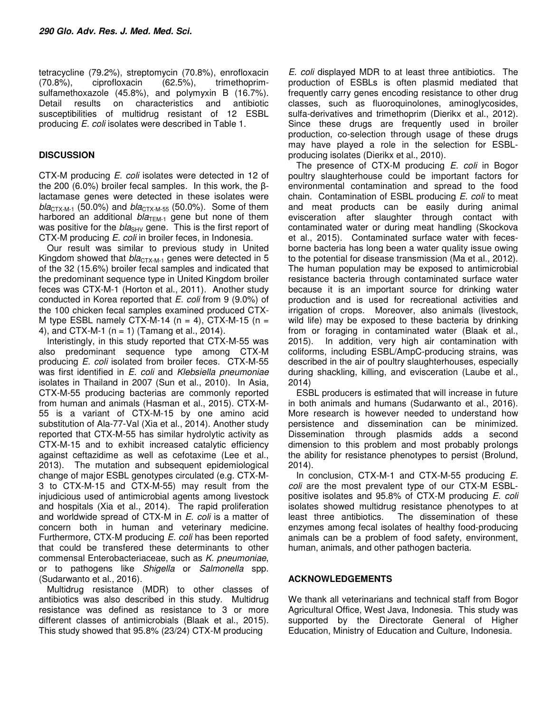tetracycline (79.2%), streptomycin (70.8%), enrofloxacin (70.8%), ciprofloxacin (62.5%), trimethoprimsulfamethoxazole (45.8%), and polymyxin B (16.7%). Detail results on characteristics and antibiotic susceptibilities of multidrug resistant of 12 ESBL producing E. coli isolates were described in Table 1.

## **DISCUSSION**

CTX-M producing E. coli isolates were detected in 12 of the 200 (6.0%) broiler fecal samples. In this work, the βlactamase genes were detected in these isolates were  $bla_{\text{CTX-M-1}}$  (50.0%) and  $bla_{\text{CTX-M-55}}$  (50.0%). Some of them harbored an additional  $bla_{\text{TEM-1}}$  gene but none of them was positive for the  $bla<sub>SHV</sub>$  gene. This is the first report of CTX-M producing E. coli in broiler feces, in Indonesia.

Our result was similar to previous study in United Kingdom showed that  $bla_{CTX-M-1}$  genes were detected in 5 of the 32 (15.6%) broiler fecal samples and indicated that the predominant sequence type in United Kingdom broiler feces was CTX-M-1 (Horton et al., 2011). Another study conducted in Korea reported that E. coli from 9 (9.0%) of the 100 chicken fecal samples examined produced CTX-M type ESBL namely CTX-M-14 ( $n = 4$ ), CTX-M-15 ( $n =$ 4), and CTX-M-1 ( $n = 1$ ) (Tamang et al., 2014).

Interistingly, in this study reported that CTX-M-55 was also predominant sequence type among CTX-M producing E. coli isolated from broiler feces. CTX-M-55 was first identified in E. coli and Klebsiella pneumoniae isolates in Thailand in 2007 (Sun et al., 2010). In Asia, CTX-M-55 producing bacterias are commonly reported from human and animals (Hasman et al., 2015). CTX-M-55 is a variant of CTX-M-15 by one amino acid substitution of Ala-77-Val (Xia et al., 2014). Another study reported that CTX-M-55 has similar hydrolytic activity as CTX-M-15 and to exhibit increased catalytic efficiency against ceftazidime as well as cefotaxime (Lee et al., 2013). The mutation and subsequent epidemiological change of major ESBL genotypes circulated (e.g. CTX-M-3 to CTX-M-15 and CTX-M-55) may result from the injudicious used of antimicrobial agents among livestock and hospitals (Xia et al., 2014). The rapid proliferation and worldwide spread of CTX-M in E. coli is a matter of concern both in human and veterinary medicine. Furthermore, CTX-M producing E. coli has been reported that could be transfered these determinants to other commensal Enterobacteriaceae, such as K. pneumoniae, or to pathogens like Shigella or Salmonella spp. (Sudarwanto et al., 2016).

Multidrug resistance (MDR) to other classes of antibiotics was also described in this study. Multidrug resistance was defined as resistance to 3 or more different classes of antimicrobials (Blaak et al., 2015). This study showed that 95.8% (23/24) CTX-M producing

E. coli displayed MDR to at least three antibiotics. The production of ESBLs is often plasmid mediated that frequently carry genes encoding resistance to other drug classes, such as fluoroquinolones, aminoglycosides, sulfa-derivatives and trimethoprim (Dierikx et al., 2012). Since these drugs are frequently used in broiler production, co-selection through usage of these drugs may have played a role in the selection for ESBLproducing isolates (Dierikx et al., 2010).

The presence of CTX-M producing E. coli in Bogor poultry slaughterhouse could be important factors for environmental contamination and spread to the food chain. Contamination of ESBL producing E. coli to meat and meat products can be easily during animal evisceration after slaughter through contact with contaminated water or during meat handling (Skockova et al., 2015). Contaminated surface water with fecesborne bacteria has long been a water quality issue owing to the potential for disease transmission (Ma et al., 2012). The human population may be exposed to antimicrobial resistance bacteria through contaminated surface water because it is an important source for drinking water production and is used for recreational activities and irrigation of crops. Moreover, also animals (livestock, wild life) may be exposed to these bacteria by drinking from or foraging in contaminated water (Blaak et al., 2015). In addition, very high air contamination with coliforms, including ESBL/AmpC-producing strains, was described in the air of poultry slaughterhouses, especially during shackling, killing, and evisceration (Laube et al., 2014)

ESBL producers is estimated that will increase in future in both animals and humans (Sudarwanto et al., 2016). More research is however needed to understand how persistence and dissemination can be minimized. Dissemination through plasmids adds a second dimension to this problem and most probably prolongs the ability for resistance phenotypes to persist (Brolund, 2014).

In conclusion, CTX-M-1 and CTX-M-55 producing E. coli are the most prevalent type of our CTX-M ESBLpositive isolates and 95.8% of CTX-M producing E. coli isolates showed multidrug resistance phenotypes to at least three antibiotics. The dissemination of these enzymes among fecal isolates of healthy food-producing animals can be a problem of food safety, environment, human, animals, and other pathogen bacteria.

#### **ACKNOWLEDGEMENTS**

We thank all veterinarians and technical staff from Bogor Agricultural Office, West Java, Indonesia. This study was supported by the Directorate General of Higher Education, Ministry of Education and Culture, Indonesia.